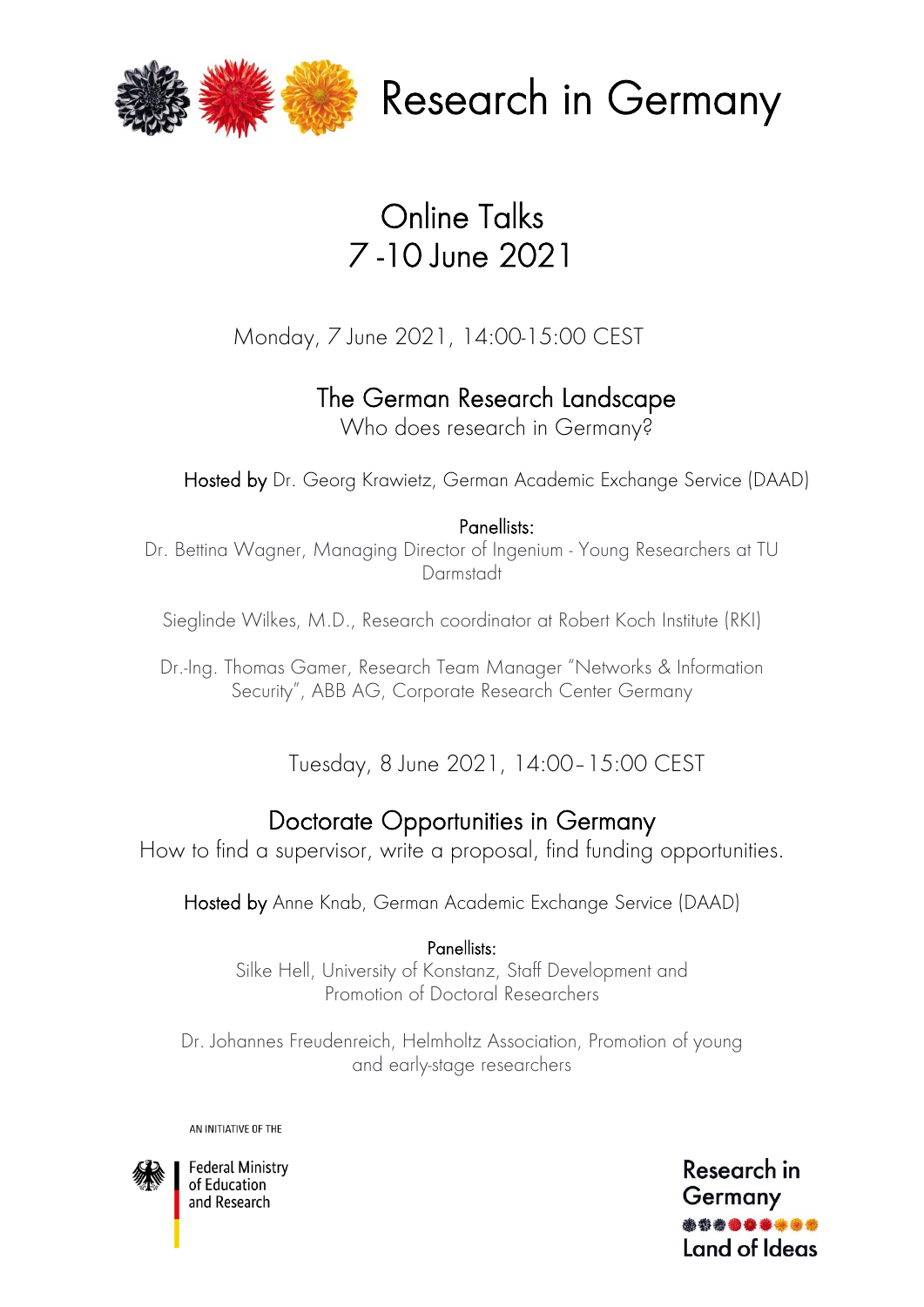

Research in Germany

# Online Talks 7 -10 June 2021

Monday, 7 June 2021, 14:00-15:00 CEST

The German Research Landscape

Who does research in Germany?

Hosted by Dr. Georg Krawietz, German Academic Exchange Service (DAAD)

#### Panellists:

Dr. Bettina Wagner, Managing Director of Ingenium - Young Researchers at TU Darmstadt

Sieglinde Wilkes, M.D., Research coordinator at Robert Koch Institute (RKI)

Dr.-Ing. Thomas Gamer, Research Team Manager "Networks & Information Security", ABB AG, Corporate Research Center Germany

Tuesday, 8 June 2021, 14:00–15:00 CEST

### Doctorate Opportunities in Germany

How to find a supervisor, write a proposal, find funding opportunities.

Hosted by Anne Knab, German Academic Exchange Service (DAAD)

### Panellists:

Silke Hell, University of Konstanz, Staff Development and Promotion of Doctoral Researchers

Dr. Johannes Freudenreich, Helmholtz Association, Promotion of young and early-stage researchers

AN INITIATIVE OF THE



**Federal Ministry** of Education and Research

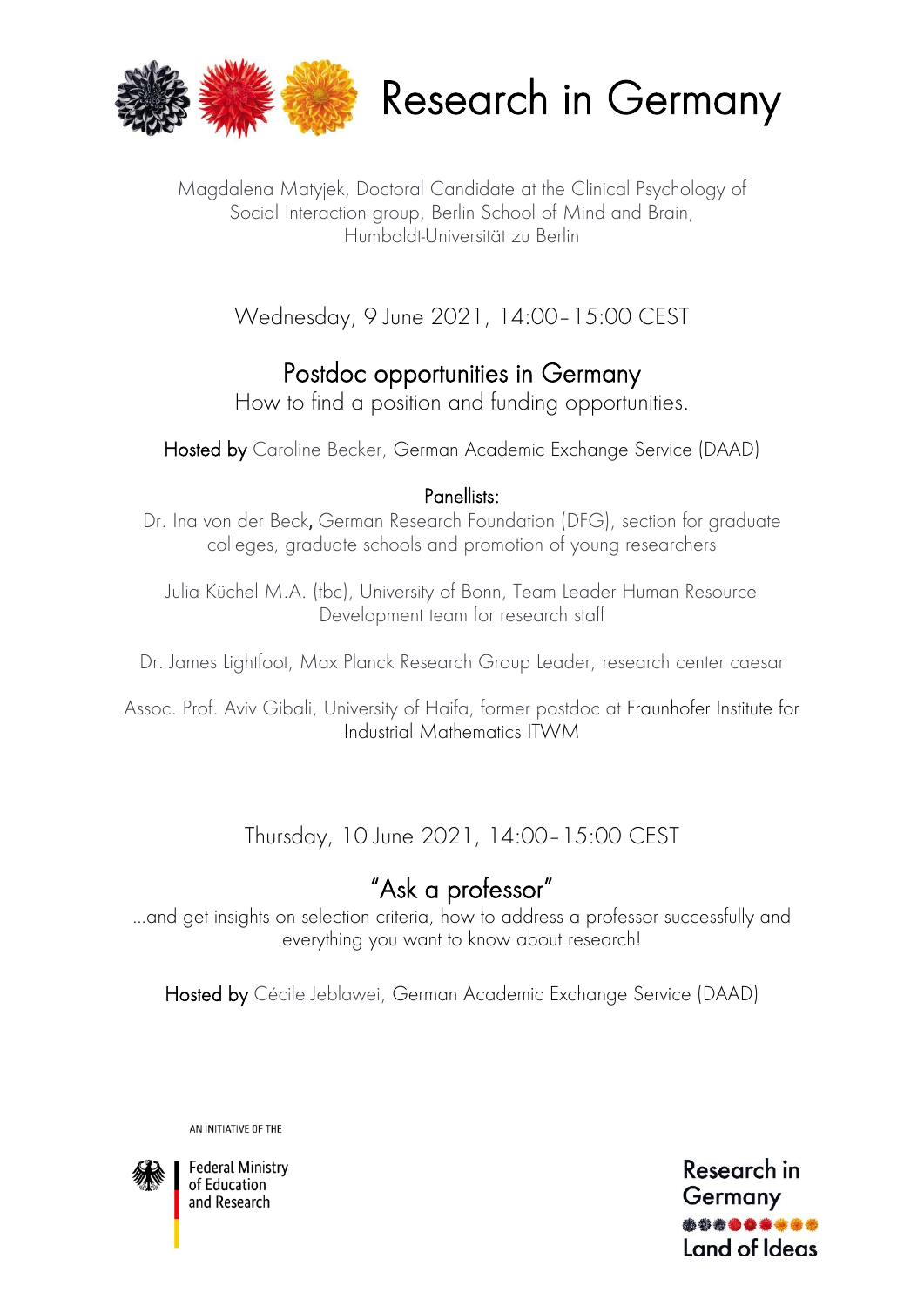

Research in Germany

Magdalena Matyjek, Doctoral Candidate at the Clinical Psychology of Social Interaction group, Berlin School of Mind and Brain, Humboldt-Universität zu Berlin

Wednesday, 9 June 2021, 14:00–15:00 CEST

### Postdoc opportunities in Germany

How to find a position and funding opportunities.

Hosted by Caroline Becker, German Academic Exchange Service (DAAD)

#### Panellists:

Dr. Ina von der Beck, German Research Foundation (DFG), section for graduate colleges, graduate schools and promotion of young researchers

Julia Küchel M.A. (tbc), University of Bonn, Team Leader Human Resource Development team for research staff

Dr. James Lightfoot, Max Planck Research Group Leader, research center caesar

Assoc. Prof. Aviv Gibali, University of Haifa, former postdoc at Fraunhofer Institute for Industrial Mathematics ITWM

Thursday, 10 June 2021, 14:00–15:00 CEST

## "Ask a professor"

…and get insights on selection criteria, how to address a professor successfully and everything you want to know about research!

Hosted by Cécile Jeblawei, German Academic Exchange Service (DAAD)

AN INITIATIVE OF THE



**Federal Ministry** of Education and Research

Research in Germany Land of Ideas